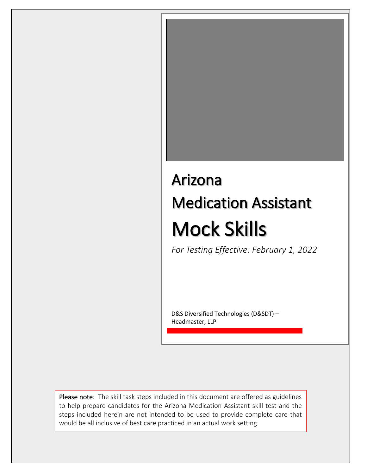# Arizona Medication Assistant Mock Skills

*For Testing Effective: February 1, 2022*

D&S Diversified Technologies (D&SDT) – Headmaster, LLP

Please note: The skill task steps included in this document are offered as guidelines to help prepare candidates for the Arizona Medication Assistant skill test and the steps included herein are not intended to be used to provide complete care that would be all inclusive of best care practiced in an actual work setting.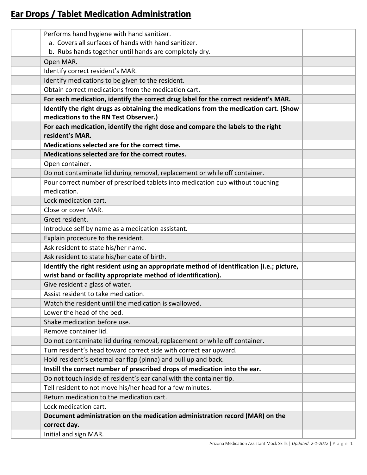## **Ear Drops / Tablet Medication Administration**

| Performs hand hygiene with hand sanitizer.                                                |  |
|-------------------------------------------------------------------------------------------|--|
| a. Covers all surfaces of hands with hand sanitizer.                                      |  |
| b. Rubs hands together until hands are completely dry.                                    |  |
| Open MAR.                                                                                 |  |
| Identify correct resident's MAR.                                                          |  |
| Identify medications to be given to the resident.                                         |  |
| Obtain correct medications from the medication cart.                                      |  |
| For each medication, identify the correct drug label for the correct resident's MAR.      |  |
| Identify the right drugs as obtaining the medications from the medication cart. (Show     |  |
| medications to the RN Test Observer.)                                                     |  |
| For each medication, identify the right dose and compare the labels to the right          |  |
| resident's MAR.                                                                           |  |
| Medications selected are for the correct time.                                            |  |
| Medications selected are for the correct routes.                                          |  |
| Open container.                                                                           |  |
| Do not contaminate lid during removal, replacement or while off container.                |  |
| Pour correct number of prescribed tablets into medication cup without touching            |  |
| medication.                                                                               |  |
| Lock medication cart.                                                                     |  |
| Close or cover MAR.                                                                       |  |
| Greet resident.                                                                           |  |
| Introduce self by name as a medication assistant.                                         |  |
| Explain procedure to the resident.                                                        |  |
| Ask resident to state his/her name.                                                       |  |
| Ask resident to state his/her date of birth.                                              |  |
| Identify the right resident using an appropriate method of identification (i.e.; picture, |  |
| wrist band or facility appropriate method of identification).                             |  |
| Give resident a glass of water.                                                           |  |
| Assist resident to take medication.                                                       |  |
| Watch the resident until the medication is swallowed.                                     |  |
| Lower the head of the bed.                                                                |  |
| Shake medication before use.                                                              |  |
| Remove container lid.                                                                     |  |
| Do not contaminate lid during removal, replacement or while off container.                |  |
| Turn resident's head toward correct side with correct ear upward.                         |  |
| Hold resident's external ear flap (pinna) and pull up and back.                           |  |
| Instill the correct number of prescribed drops of medication into the ear.                |  |
| Do not touch inside of resident's ear canal with the container tip.                       |  |
| Tell resident to not move his/her head for a few minutes.                                 |  |
| Return medication to the medication cart.                                                 |  |
| Lock medication cart.                                                                     |  |
| Document administration on the medication administration record (MAR) on the              |  |
| correct day.                                                                              |  |
| Initial and sign MAR.                                                                     |  |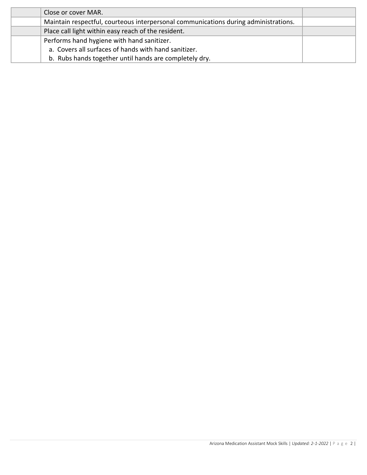| Close or cover MAR.                                                                 |  |
|-------------------------------------------------------------------------------------|--|
| Maintain respectful, courteous interpersonal communications during administrations. |  |
| Place call light within easy reach of the resident.                                 |  |
| Performs hand hygiene with hand sanitizer.                                          |  |
| a. Covers all surfaces of hands with hand sanitizer.                                |  |
| b. Rubs hands together until hands are completely dry.                              |  |
|                                                                                     |  |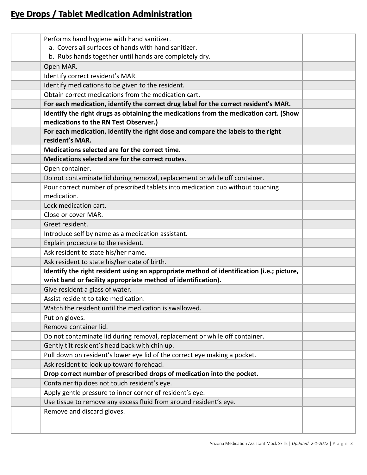## **Eye Drops / Tablet Medication Administration**

| Performs hand hygiene with hand sanitizer.                                                |  |
|-------------------------------------------------------------------------------------------|--|
| a. Covers all surfaces of hands with hand sanitizer.                                      |  |
| b. Rubs hands together until hands are completely dry.                                    |  |
| Open MAR.                                                                                 |  |
| Identify correct resident's MAR.                                                          |  |
| Identify medications to be given to the resident.                                         |  |
| Obtain correct medications from the medication cart.                                      |  |
| For each medication, identify the correct drug label for the correct resident's MAR.      |  |
| Identify the right drugs as obtaining the medications from the medication cart. (Show     |  |
| medications to the RN Test Observer.)                                                     |  |
| For each medication, identify the right dose and compare the labels to the right          |  |
| resident's MAR.                                                                           |  |
| Medications selected are for the correct time.                                            |  |
| Medications selected are for the correct routes.                                          |  |
| Open container.                                                                           |  |
| Do not contaminate lid during removal, replacement or while off container.                |  |
| Pour correct number of prescribed tablets into medication cup without touching            |  |
| medication.                                                                               |  |
| Lock medication cart.                                                                     |  |
| Close or cover MAR.                                                                       |  |
| Greet resident.                                                                           |  |
| Introduce self by name as a medication assistant.                                         |  |
| Explain procedure to the resident.                                                        |  |
| Ask resident to state his/her name.                                                       |  |
| Ask resident to state his/her date of birth.                                              |  |
| Identify the right resident using an appropriate method of identification (i.e.; picture, |  |
| wrist band or facility appropriate method of identification).                             |  |
| Give resident a glass of water.                                                           |  |
| Assist resident to take medication                                                        |  |
| Watch the resident until the medication is swallowed.                                     |  |
| Put on gloves.                                                                            |  |
| Remove container lid.                                                                     |  |
| Do not contaminate lid during removal, replacement or while off container.                |  |
| Gently tilt resident's head back with chin up.                                            |  |
| Pull down on resident's lower eye lid of the correct eye making a pocket.                 |  |
| Ask resident to look up toward forehead.                                                  |  |
| Drop correct number of prescribed drops of medication into the pocket.                    |  |
| Container tip does not touch resident's eye.                                              |  |
| Apply gentle pressure to inner corner of resident's eye.                                  |  |
| Use tissue to remove any excess fluid from around resident's eye.                         |  |
| Remove and discard gloves.                                                                |  |
|                                                                                           |  |
|                                                                                           |  |
|                                                                                           |  |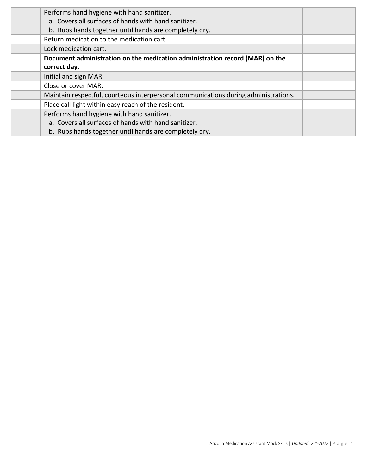| Performs hand hygiene with hand sanitizer.<br>a. Covers all surfaces of hands with hand sanitizer. |  |
|----------------------------------------------------------------------------------------------------|--|
| b. Rubs hands together until hands are completely dry.                                             |  |
| Return medication to the medication cart.                                                          |  |
| Lock medication cart.                                                                              |  |
| Document administration on the medication administration record (MAR) on the                       |  |
| correct day.                                                                                       |  |
| Initial and sign MAR.                                                                              |  |
| Close or cover MAR.                                                                                |  |
| Maintain respectful, courteous interpersonal communications during administrations.                |  |
| Place call light within easy reach of the resident.                                                |  |
| Performs hand hygiene with hand sanitizer.                                                         |  |
| a. Covers all surfaces of hands with hand sanitizer.                                               |  |
| b. Rubs hands together until hands are completely dry.                                             |  |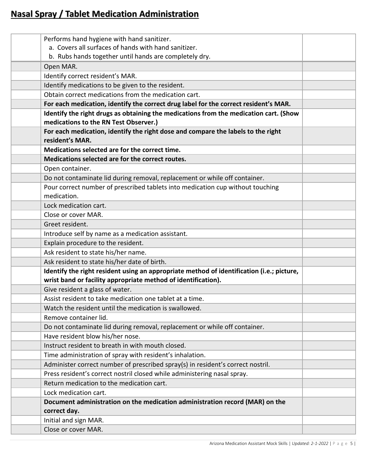## **Nasal Spray / Tablet Medication Administration**

| Performs hand hygiene with hand sanitizer.                                                |  |
|-------------------------------------------------------------------------------------------|--|
| a. Covers all surfaces of hands with hand sanitizer.                                      |  |
| b. Rubs hands together until hands are completely dry.                                    |  |
| Open MAR.                                                                                 |  |
| Identify correct resident's MAR.                                                          |  |
| Identify medications to be given to the resident.                                         |  |
| Obtain correct medications from the medication cart.                                      |  |
| For each medication, identify the correct drug label for the correct resident's MAR.      |  |
| Identify the right drugs as obtaining the medications from the medication cart. (Show     |  |
| medications to the RN Test Observer.)                                                     |  |
| For each medication, identify the right dose and compare the labels to the right          |  |
| resident's MAR.                                                                           |  |
| Medications selected are for the correct time.                                            |  |
| Medications selected are for the correct routes.                                          |  |
| Open container.                                                                           |  |
| Do not contaminate lid during removal, replacement or while off container.                |  |
| Pour correct number of prescribed tablets into medication cup without touching            |  |
| medication.                                                                               |  |
| Lock medication cart.                                                                     |  |
| Close or cover MAR.                                                                       |  |
| Greet resident.                                                                           |  |
| Introduce self by name as a medication assistant.                                         |  |
| Explain procedure to the resident.                                                        |  |
| Ask resident to state his/her name.                                                       |  |
| Ask resident to state his/her date of birth.                                              |  |
| Identify the right resident using an appropriate method of identification (i.e.; picture, |  |
| wrist band or facility appropriate method of identification).                             |  |
| Give resident a glass of water.                                                           |  |
| Assist resident to take medication one tablet at a time                                   |  |
| Watch the resident until the medication is swallowed.                                     |  |
| Remove container lid.                                                                     |  |
| Do not contaminate lid during removal, replacement or while off container.                |  |
| Have resident blow his/her nose.                                                          |  |
| Instruct resident to breath in with mouth closed.                                         |  |
| Time administration of spray with resident's inhalation.                                  |  |
| Administer correct number of prescribed spray(s) in resident's correct nostril.           |  |
| Press resident's correct nostril closed while administering nasal spray.                  |  |
| Return medication to the medication cart.                                                 |  |
| Lock medication cart.                                                                     |  |
| Document administration on the medication administration record (MAR) on the              |  |
| correct day.                                                                              |  |
| Initial and sign MAR.                                                                     |  |
| Close or cover MAR.                                                                       |  |
|                                                                                           |  |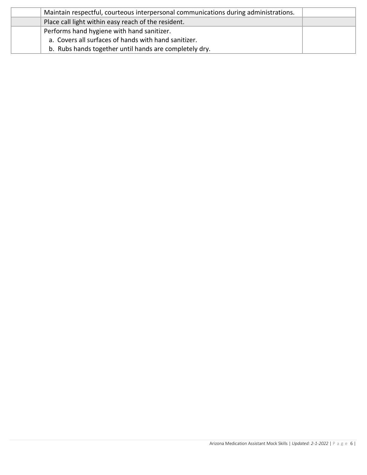| Maintain respectful, courteous interpersonal communications during administrations. |  |
|-------------------------------------------------------------------------------------|--|
| Place call light within easy reach of the resident.                                 |  |
| Performs hand hygiene with hand sanitizer.                                          |  |
| a. Covers all surfaces of hands with hand sanitizer.                                |  |
| b. Rubs hands together until hands are completely dry.                              |  |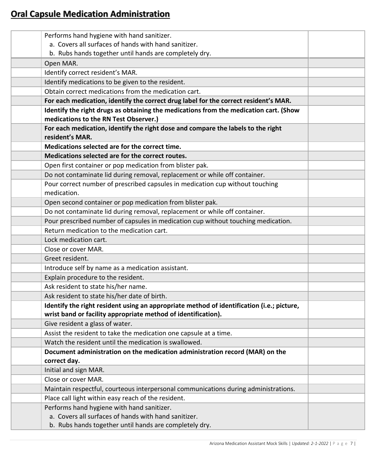## **Oral Capsule Medication Administration**

| Performs hand hygiene with hand sanitizer.                                                |  |
|-------------------------------------------------------------------------------------------|--|
| a. Covers all surfaces of hands with hand sanitizer.                                      |  |
| b. Rubs hands together until hands are completely dry.                                    |  |
| Open MAR.                                                                                 |  |
| Identify correct resident's MAR.                                                          |  |
| Identify medications to be given to the resident.                                         |  |
| Obtain correct medications from the medication cart.                                      |  |
| For each medication, identify the correct drug label for the correct resident's MAR.      |  |
| Identify the right drugs as obtaining the medications from the medication cart. (Show     |  |
| medications to the RN Test Observer.)                                                     |  |
| For each medication, identify the right dose and compare the labels to the right          |  |
| resident's MAR.                                                                           |  |
| Medications selected are for the correct time.                                            |  |
| Medications selected are for the correct routes.                                          |  |
| Open first container or pop medication from blister pak.                                  |  |
| Do not contaminate lid during removal, replacement or while off container.                |  |
| Pour correct number of prescribed capsules in medication cup without touching             |  |
| medication.                                                                               |  |
| Open second container or pop medication from blister pak.                                 |  |
| Do not contaminate lid during removal, replacement or while off container.                |  |
| Pour prescribed number of capsules in medication cup without touching medication.         |  |
| Return medication to the medication cart.                                                 |  |
| Lock medication cart.                                                                     |  |
| Close or cover MAR.                                                                       |  |
| Greet resident.                                                                           |  |
| Introduce self by name as a medication assistant.                                         |  |
| Explain procedure to the resident.                                                        |  |
| Ask resident to state his/her name.                                                       |  |
| Ask resident to state his/her date of birth.                                              |  |
| Identify the right resident using an appropriate method of identification (i.e.; picture, |  |
| wrist band or facility appropriate method of identification).                             |  |
| Give resident a glass of water.                                                           |  |
| Assist the resident to take the medication one capsule at a time.                         |  |
| Watch the resident until the medication is swallowed.                                     |  |
| Document administration on the medication administration record (MAR) on the              |  |
| correct day.                                                                              |  |
| Initial and sign MAR.                                                                     |  |
| Close or cover MAR.                                                                       |  |
| Maintain respectful, courteous interpersonal communications during administrations.       |  |
| Place call light within easy reach of the resident.                                       |  |
| Performs hand hygiene with hand sanitizer.                                                |  |
| a. Covers all surfaces of hands with hand sanitizer.                                      |  |
| b. Rubs hands together until hands are completely dry.                                    |  |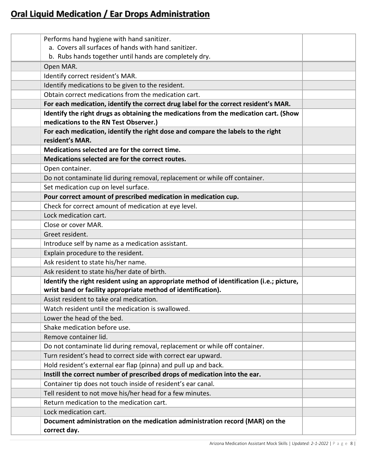## **Oral Liquid Medication / Ear Drops Administration**

| Performs hand hygiene with hand sanitizer.                                                |  |
|-------------------------------------------------------------------------------------------|--|
| a. Covers all surfaces of hands with hand sanitizer.                                      |  |
| b. Rubs hands together until hands are completely dry.                                    |  |
| Open MAR.                                                                                 |  |
| Identify correct resident's MAR.                                                          |  |
| Identify medications to be given to the resident.                                         |  |
| Obtain correct medications from the medication cart.                                      |  |
| For each medication, identify the correct drug label for the correct resident's MAR.      |  |
| Identify the right drugs as obtaining the medications from the medication cart. (Show     |  |
| medications to the RN Test Observer.)                                                     |  |
| For each medication, identify the right dose and compare the labels to the right          |  |
| resident's MAR.                                                                           |  |
| Medications selected are for the correct time.                                            |  |
| Medications selected are for the correct routes.                                          |  |
| Open container.                                                                           |  |
| Do not contaminate lid during removal, replacement or while off container.                |  |
| Set medication cup on level surface.                                                      |  |
| Pour correct amount of prescribed medication in medication cup.                           |  |
| Check for correct amount of medication at eye level.                                      |  |
| Lock medication cart.                                                                     |  |
| Close or cover MAR.                                                                       |  |
| Greet resident.                                                                           |  |
| Introduce self by name as a medication assistant.                                         |  |
| Explain procedure to the resident.                                                        |  |
| Ask resident to state his/her name.                                                       |  |
| Ask resident to state his/her date of birth.                                              |  |
| Identify the right resident using an appropriate method of identification (i.e.; picture, |  |
| wrist band or facility appropriate method of identification).                             |  |
| Assist resident to take oral medication                                                   |  |
| Watch resident until the medication is swallowed.                                         |  |
| Lower the head of the bed.                                                                |  |
| Shake medication before use.                                                              |  |
| Remove container lid.                                                                     |  |
| Do not contaminate lid during removal, replacement or while off container.                |  |
| Turn resident's head to correct side with correct ear upward.                             |  |
| Hold resident's external ear flap (pinna) and pull up and back.                           |  |
| Instill the correct number of prescribed drops of medication into the ear.                |  |
| Container tip does not touch inside of resident's ear canal.                              |  |
| Tell resident to not move his/her head for a few minutes.                                 |  |
| Return medication to the medication cart.                                                 |  |
| Lock medication cart.                                                                     |  |
| Document administration on the medication administration record (MAR) on the              |  |
| correct day.                                                                              |  |
|                                                                                           |  |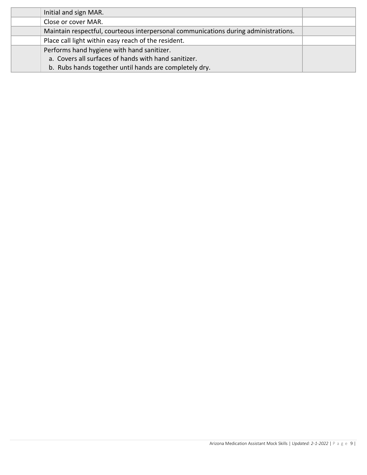| Initial and sign MAR.                                                               |  |
|-------------------------------------------------------------------------------------|--|
| Close or cover MAR.                                                                 |  |
| Maintain respectful, courteous interpersonal communications during administrations. |  |
| Place call light within easy reach of the resident.                                 |  |
| Performs hand hygiene with hand sanitizer.                                          |  |
| a. Covers all surfaces of hands with hand sanitizer.                                |  |
| b. Rubs hands together until hands are completely dry.                              |  |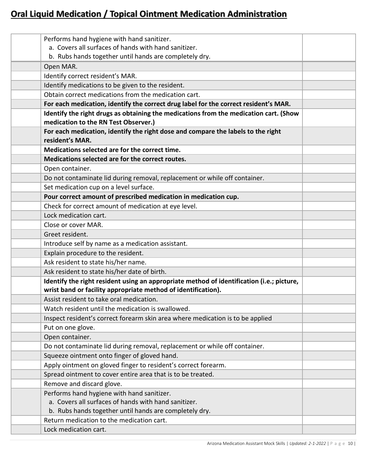# **Oral Liquid Medication / Topical Ointment Medication Administration**

| Performs hand hygiene with hand sanitizer.                                                |  |
|-------------------------------------------------------------------------------------------|--|
| a. Covers all surfaces of hands with hand sanitizer.                                      |  |
| b. Rubs hands together until hands are completely dry.                                    |  |
| Open MAR.                                                                                 |  |
| Identify correct resident's MAR.                                                          |  |
| Identify medications to be given to the resident.                                         |  |
| Obtain correct medications from the medication cart.                                      |  |
| For each medication, identify the correct drug label for the correct resident's MAR.      |  |
| Identify the right drugs as obtaining the medications from the medication cart. (Show     |  |
| medication to the RN Test Observer.)                                                      |  |
| For each medication, identify the right dose and compare the labels to the right          |  |
| resident's MAR.                                                                           |  |
| Medications selected are for the correct time.                                            |  |
| Medications selected are for the correct routes.                                          |  |
| Open container.                                                                           |  |
| Do not contaminate lid during removal, replacement or while off container.                |  |
| Set medication cup on a level surface.                                                    |  |
| Pour correct amount of prescribed medication in medication cup.                           |  |
| Check for correct amount of medication at eye level.                                      |  |
| Lock medication cart.                                                                     |  |
| Close or cover MAR.                                                                       |  |
| Greet resident.                                                                           |  |
| Introduce self by name as a medication assistant.                                         |  |
| Explain procedure to the resident.                                                        |  |
| Ask resident to state his/her name.                                                       |  |
| Ask resident to state his/her date of birth.                                              |  |
| Identify the right resident using an appropriate method of identification (i.e.; picture, |  |
| wrist band or facility appropriate method of identification).                             |  |
| Assist resident to take oral medication                                                   |  |
| Watch resident until the medication is swallowed.                                         |  |
| Inspect resident's correct forearm skin area where medication is to be applied            |  |
| Put on one glove.                                                                         |  |
| Open container.                                                                           |  |
| Do not contaminate lid during removal, replacement or while off container.                |  |
| Squeeze ointment onto finger of gloved hand.                                              |  |
| Apply ointment on gloved finger to resident's correct forearm.                            |  |
| Spread ointment to cover entire area that is to be treated.                               |  |
| Remove and discard glove.                                                                 |  |
| Performs hand hygiene with hand sanitizer.                                                |  |
| a. Covers all surfaces of hands with hand sanitizer.                                      |  |
| b. Rubs hands together until hands are completely dry.                                    |  |
| Return medication to the medication cart.                                                 |  |
| Lock medication cart.                                                                     |  |
|                                                                                           |  |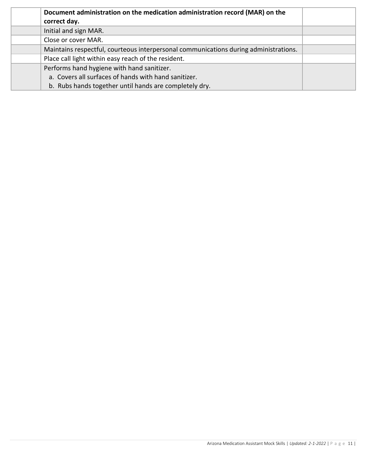| Document administration on the medication administration record (MAR) on the<br>correct day. |  |
|----------------------------------------------------------------------------------------------|--|
|                                                                                              |  |
| Initial and sign MAR.                                                                        |  |
| Close or cover MAR.                                                                          |  |
| Maintains respectful, courteous interpersonal communications during administrations.         |  |
| Place call light within easy reach of the resident.                                          |  |
| Performs hand hygiene with hand sanitizer.                                                   |  |
| a. Covers all surfaces of hands with hand sanitizer.                                         |  |
| b. Rubs hands together until hands are completely dry.                                       |  |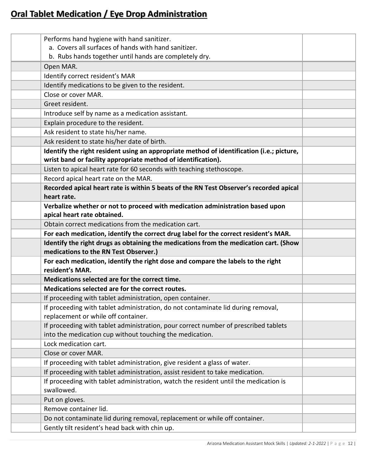# **Oral Tablet Medication / Eye Drop Administration**

| Performs hand hygiene with hand sanitizer.                                                |  |
|-------------------------------------------------------------------------------------------|--|
| a. Covers all surfaces of hands with hand sanitizer.                                      |  |
| b. Rubs hands together until hands are completely dry.                                    |  |
| Open MAR.                                                                                 |  |
| Identify correct resident's MAR                                                           |  |
| Identify medications to be given to the resident.                                         |  |
| Close or cover MAR.                                                                       |  |
| Greet resident.                                                                           |  |
| Introduce self by name as a medication assistant.                                         |  |
| Explain procedure to the resident.                                                        |  |
| Ask resident to state his/her name.                                                       |  |
| Ask resident to state his/her date of birth.                                              |  |
| Identify the right resident using an appropriate method of identification (i.e.; picture, |  |
| wrist band or facility appropriate method of identification).                             |  |
| Listen to apical heart rate for 60 seconds with teaching stethoscope.                     |  |
| Record apical heart rate on the MAR.                                                      |  |
| Recorded apical heart rate is within 5 beats of the RN Test Observer's recorded apical    |  |
| heart rate.                                                                               |  |
| Verbalize whether or not to proceed with medication administration based upon             |  |
| apical heart rate obtained.                                                               |  |
| Obtain correct medications from the medication cart.                                      |  |
| For each medication, identify the correct drug label for the correct resident's MAR.      |  |
| Identify the right drugs as obtaining the medications from the medication cart. (Show     |  |
| medications to the RN Test Observer.)                                                     |  |
| For each medication, identify the right dose and compare the labels to the right          |  |
| resident's MAR.                                                                           |  |
| Medications selected are for the correct time.                                            |  |
| Medications selected are for the correct routes.                                          |  |
| If proceeding with tablet administration, open container.                                 |  |
| If proceeding with tablet administration, do not contaminate lid during removal,          |  |
| replacement or while off container.                                                       |  |
| If proceeding with tablet administration, pour correct number of prescribed tablets       |  |
| into the medication cup without touching the medication.                                  |  |
| Lock medication cart.                                                                     |  |
| Close or cover MAR.                                                                       |  |
| If proceeding with tablet administration, give resident a glass of water.                 |  |
| If proceeding with tablet administration, assist resident to take medication.             |  |
| If proceeding with tablet administration, watch the resident until the medication is      |  |
| swallowed.                                                                                |  |
| Put on gloves.                                                                            |  |
| Remove container lid.                                                                     |  |
| Do not contaminate lid during removal, replacement or while off container.                |  |
| Gently tilt resident's head back with chin up.                                            |  |
|                                                                                           |  |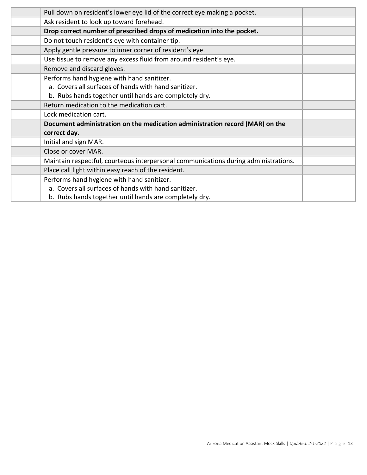| Pull down on resident's lower eye lid of the correct eye making a pocket.           |  |
|-------------------------------------------------------------------------------------|--|
| Ask resident to look up toward forehead.                                            |  |
| Drop correct number of prescribed drops of medication into the pocket.              |  |
| Do not touch resident's eye with container tip.                                     |  |
| Apply gentle pressure to inner corner of resident's eye.                            |  |
| Use tissue to remove any excess fluid from around resident's eye.                   |  |
| Remove and discard gloves.                                                          |  |
| Performs hand hygiene with hand sanitizer.                                          |  |
| a. Covers all surfaces of hands with hand sanitizer.                                |  |
| b. Rubs hands together until hands are completely dry.                              |  |
| Return medication to the medication cart.                                           |  |
| Lock medication cart.                                                               |  |
| Document administration on the medication administration record (MAR) on the        |  |
| correct day.                                                                        |  |
| Initial and sign MAR.                                                               |  |
| Close or cover MAR.                                                                 |  |
| Maintain respectful, courteous interpersonal communications during administrations. |  |
| Place call light within easy reach of the resident.                                 |  |
| Performs hand hygiene with hand sanitizer.                                          |  |
| a. Covers all surfaces of hands with hand sanitizer.                                |  |
| b. Rubs hands together until hands are completely dry.                              |  |
|                                                                                     |  |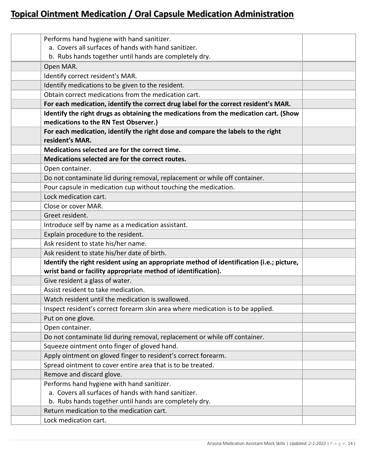## **Topical Ointment Medication / Oral Capsule Medication Administration**

| Performs hand hygiene with hand sanitizer.                                                                                     |  |
|--------------------------------------------------------------------------------------------------------------------------------|--|
| a. Covers all surfaces of hands with hand sanitizer.                                                                           |  |
| b. Rubs hands together until hands are completely dry.                                                                         |  |
| Open MAR.                                                                                                                      |  |
| Identify correct resident's MAR.                                                                                               |  |
| Identify medications to be given to the resident.                                                                              |  |
| Obtain correct medications from the medication cart.                                                                           |  |
| For each medication, identify the correct drug label for the correct resident's MAR.                                           |  |
| Identify the right drugs as obtaining the medications from the medication cart. (Show<br>medications to the RN Test Observer.) |  |
| For each medication, identify the right dose and compare the labels to the right<br>resident's MAR.                            |  |
| Medications selected are for the correct time.                                                                                 |  |
| Medications selected are for the correct routes.                                                                               |  |
| Open container.                                                                                                                |  |
| Do not contaminate lid during removal, replacement or while off container.                                                     |  |
| Pour capsule in medication cup without touching the medication.                                                                |  |
| Lock medication cart.                                                                                                          |  |
| Close or cover MAR.                                                                                                            |  |
| Greet resident.                                                                                                                |  |
| Introduce self by name as a medication assistant.                                                                              |  |
| Explain procedure to the resident.                                                                                             |  |
| Ask resident to state his/her name.                                                                                            |  |
| Ask resident to state his/her date of birth.                                                                                   |  |
| Identify the right resident using an appropriate method of identification (i.e.; picture,                                      |  |
| wrist band or facility appropriate method of identification).                                                                  |  |
| Give resident a glass of water.                                                                                                |  |
| Assist resident to take medication.                                                                                            |  |
| Watch resident until the medication is swallowed.                                                                              |  |
| Inspect resident's correct forearm skin area where medication is to be applied.                                                |  |
| Put on one glove.                                                                                                              |  |
| Open container.                                                                                                                |  |
| Do not contaminate lid during removal, replacement or while off container.                                                     |  |
| Squeeze ointment onto finger of gloved hand.                                                                                   |  |
| Apply ointment on gloved finger to resident's correct forearm.                                                                 |  |
| Spread ointment to cover entire area that is to be treated.                                                                    |  |
| Remove and discard glove.                                                                                                      |  |
| Performs hand hygiene with hand sanitizer.                                                                                     |  |
| a. Covers all surfaces of hands with hand sanitizer.                                                                           |  |
| b. Rubs hands together until hands are completely dry.                                                                         |  |
| Return medication to the medication cart.                                                                                      |  |
| Lock medication cart.                                                                                                          |  |
|                                                                                                                                |  |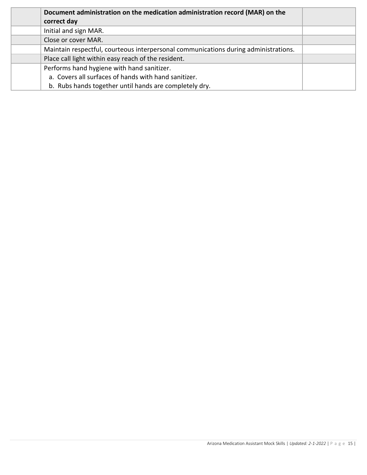| Document administration on the medication administration record (MAR) on the        |  |
|-------------------------------------------------------------------------------------|--|
| correct day                                                                         |  |
| Initial and sign MAR.                                                               |  |
| Close or cover MAR.                                                                 |  |
| Maintain respectful, courteous interpersonal communications during administrations. |  |
| Place call light within easy reach of the resident.                                 |  |
| Performs hand hygiene with hand sanitizer.                                          |  |
| a. Covers all surfaces of hands with hand sanitizer.                                |  |
| b. Rubs hands together until hands are completely dry.                              |  |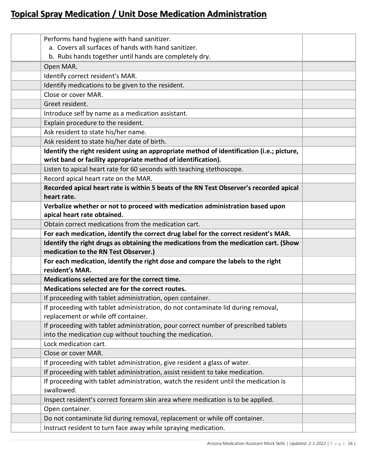## **Topical Spray Medication / Unit Dose Medication Administration**

| Performs hand hygiene with hand sanitizer.                                                |  |
|-------------------------------------------------------------------------------------------|--|
| a. Covers all surfaces of hands with hand sanitizer.                                      |  |
| b. Rubs hands together until hands are completely dry.                                    |  |
| Open MAR.                                                                                 |  |
| Identify correct resident's MAR.                                                          |  |
| Identify medications to be given to the resident.                                         |  |
| Close or cover MAR.                                                                       |  |
| Greet resident.                                                                           |  |
| Introduce self by name as a medication assistant.                                         |  |
| Explain procedure to the resident.                                                        |  |
| Ask resident to state his/her name.                                                       |  |
| Ask resident to state his/her date of birth.                                              |  |
| Identify the right resident using an appropriate method of identification (i.e.; picture, |  |
| wrist band or facility appropriate method of identification).                             |  |
| Listen to apical heart rate for 60 seconds with teaching stethoscope.                     |  |
| Record apical heart rate on the MAR.                                                      |  |
| Recorded apical heart rate is within 5 beats of the RN Test Observer's recorded apical    |  |
| heart rate.                                                                               |  |
| Verbalize whether or not to proceed with medication administration based upon             |  |
| apical heart rate obtained.                                                               |  |
| Obtain correct medications from the medication cart.                                      |  |
| For each medication, identify the correct drug label for the correct resident's MAR.      |  |
| Identify the right drugs as obtaining the medications from the medication cart. (Show     |  |
| medication to the RN Test Observer.)                                                      |  |
| For each medication, identify the right dose and compare the labels to the right          |  |
| resident's MAR.                                                                           |  |
| Medications selected are for the correct time.                                            |  |
| Medications selected are for the correct routes.                                          |  |
| If proceeding with tablet administration, open container.                                 |  |
| If proceeding with tablet administration, do not contaminate lid during removal,          |  |
| replacement or while off container.                                                       |  |
| If proceeding with tablet administration, pour correct number of prescribed tablets       |  |
| into the medication cup without touching the medication.                                  |  |
| Lock medication cart.                                                                     |  |
| Close or cover MAR.                                                                       |  |
| If proceeding with tablet administration, give resident a glass of water.                 |  |
| If proceeding with tablet administration, assist resident to take medication.             |  |
| If proceeding with tablet administration, watch the resident until the medication is      |  |
| swallowed.                                                                                |  |
| Inspect resident's correct forearm skin area where medication is to be applied.           |  |
| Open container.                                                                           |  |
| Do not contaminate lid during removal, replacement or while off container.                |  |
| Instruct resident to turn face away while spraying medication.                            |  |
|                                                                                           |  |